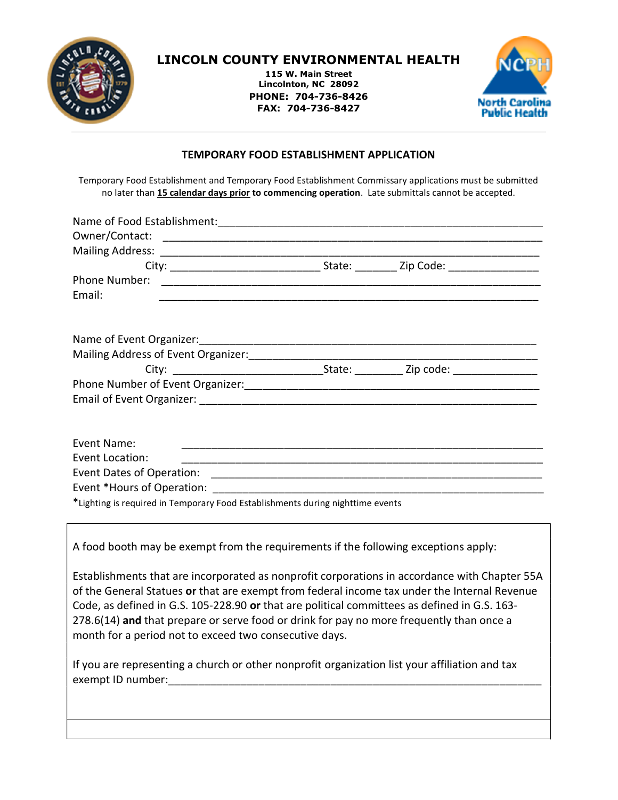

## LINCOLN COUNTY ENVIRONMENTAL HEALTH

115 W. Main Street Lincolnton, NC 28092 PHONE: 704-736-8426 FAX: 704-736-8427



#### TEMPORARY FOOD ESTABLISHMENT APPLICATION

Temporary Food Establishment and Temporary Food Establishment Commissary applications must be submitted no later than 15 calendar days prior to commencing operation. Late submittals cannot be accepted.

| Phone Number:                                                                  |                                                                                                                       |
|--------------------------------------------------------------------------------|-----------------------------------------------------------------------------------------------------------------------|
| Email:                                                                         |                                                                                                                       |
|                                                                                |                                                                                                                       |
|                                                                                |                                                                                                                       |
|                                                                                |                                                                                                                       |
|                                                                                |                                                                                                                       |
|                                                                                |                                                                                                                       |
|                                                                                |                                                                                                                       |
|                                                                                |                                                                                                                       |
| Event Name:                                                                    |                                                                                                                       |
| Event Location:                                                                | <u> 1989 - Jan Barnett, mars et al. 1989 - Anna anno 1989 - Anna anno 1989 - Anna anno 1989 - Anna ann ann an t-à</u> |
|                                                                                |                                                                                                                       |
|                                                                                |                                                                                                                       |
| *Lighting is required in Temporary Food Establishments during nighttime events |                                                                                                                       |

A food booth may be exempt from the requirements if the following exceptions apply:

Establishments that are incorporated as nonprofit corporations in accordance with Chapter 55A of the General Statues or that are exempt from federal income tax under the Internal Revenue Code, as defined in G.S. 105-228.90 or that are political committees as defined in G.S. 163- 278.6(14) and that prepare or serve food or drink for pay no more frequently than once a month for a period not to exceed two consecutive days.

If you are representing a church or other nonprofit organization list your affiliation and tax exempt ID number: exempt ID number: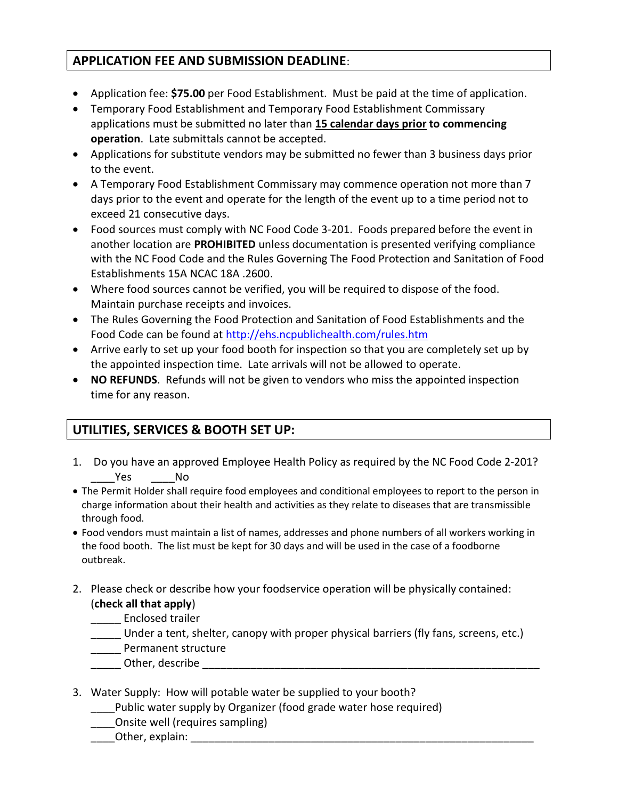## APPLICATION FEE AND SUBMISSION DEADLINE:

- Application fee: \$75.00 per Food Establishment. Must be paid at the time of application.
- Temporary Food Establishment and Temporary Food Establishment Commissary applications must be submitted no later than 15 calendar days prior to commencing operation. Late submittals cannot be accepted.
- Applications for substitute vendors may be submitted no fewer than 3 business days prior to the event.
- A Temporary Food Establishment Commissary may commence operation not more than 7 days prior to the event and operate for the length of the event up to a time period not to exceed 21 consecutive days.
- Food sources must comply with NC Food Code 3-201. Foods prepared before the event in another location are PROHIBITED unless documentation is presented verifying compliance with the NC Food Code and the Rules Governing The Food Protection and Sanitation of Food Establishments 15A NCAC 18A .2600.
- Where food sources cannot be verified, you will be required to dispose of the food. Maintain purchase receipts and invoices.
- The Rules Governing the Food Protection and Sanitation of Food Establishments and the Food Code can be found at http://ehs.ncpublichealth.com/rules.htm
- Arrive early to set up your food booth for inspection so that you are completely set up by the appointed inspection time. Late arrivals will not be allowed to operate.
- NO REFUNDS. Refunds will not be given to vendors who miss the appointed inspection time for any reason.

# UTILITIES, SERVICES & BOOTH SET UP:

- 1. Do you have an approved Employee Health Policy as required by the NC Food Code 2-201? Yes No
- The Permit Holder shall require food employees and conditional employees to report to the person in charge information about their health and activities as they relate to diseases that are transmissible through food.
- Food vendors must maintain a list of names, addresses and phone numbers of all workers working in the food booth. The list must be kept for 30 days and will be used in the case of a foodborne outbreak.
- 2. Please check or describe how your foodservice operation will be physically contained: (check all that apply)
	- \_\_\_\_\_ Enclosed trailer
	- Under a tent, shelter, canopy with proper physical barriers (fly fans, screens, etc.)
	- Permanent structure
	- \_\_\_\_\_ Other, describe \_\_\_\_\_\_\_\_\_\_\_\_\_\_\_\_\_\_\_\_\_\_\_\_\_\_\_\_\_\_\_\_\_\_\_\_\_\_\_\_\_\_\_\_\_\_\_\_\_\_\_\_\_\_\_\_
- 3. Water Supply: How will potable water be supplied to your booth?
	- \_\_\_\_Public water supply by Organizer (food grade water hose required)
	- \_\_\_\_Onsite well (requires sampling)
	- Other, explain: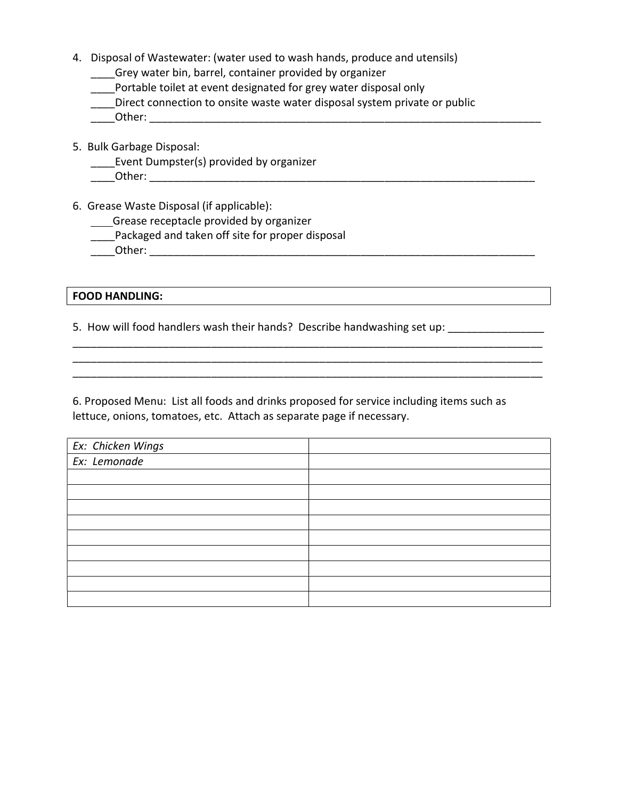- 4. Disposal of Wastewater: (water used to wash hands, produce and utensils)
	- \_\_\_\_Grey water bin, barrel, container provided by organizer
	- \_\_\_\_Portable toilet at event designated for grey water disposal only
	- Direct connection to onsite waste water disposal system private or public

\_\_\_\_Other: \_\_\_\_\_\_\_\_\_\_\_\_\_\_\_\_\_\_\_\_\_\_\_\_\_\_\_\_\_\_\_\_\_\_\_\_\_\_\_\_\_\_\_\_\_\_\_\_\_\_\_\_\_\_\_\_\_\_\_\_\_\_\_\_\_

- 5. Bulk Garbage Disposal:
	- Event Dumpster(s) provided by organizer
	- \_\_\_\_Other: \_\_\_\_\_\_\_\_\_\_\_\_\_\_\_\_\_\_\_\_\_\_\_\_\_\_\_\_\_\_\_\_\_\_\_\_\_\_\_\_\_\_\_\_\_\_\_\_\_\_\_\_\_\_\_\_\_\_\_\_\_\_\_\_
- 6. Grease Waste Disposal (if applicable):
	- **Corease receptacle provided by organizer**
	- \_\_\_\_Packaged and taken off site for proper disposal
	- \_\_\_\_Other: \_\_\_\_\_\_\_\_\_\_\_\_\_\_\_\_\_\_\_\_\_\_\_\_\_\_\_\_\_\_\_\_\_\_\_\_\_\_\_\_\_\_\_\_\_\_\_\_\_\_\_\_\_\_\_\_\_\_\_\_\_\_\_\_

#### FOOD HANDLING:

5. How will food handlers wash their hands? Describe handwashing set up: \_\_\_\_\_\_\_\_\_\_\_\_\_\_

6. Proposed Menu: List all foods and drinks proposed for service including items such as lettuce, onions, tomatoes, etc. Attach as separate page if necessary.

\_\_\_\_\_\_\_\_\_\_\_\_\_\_\_\_\_\_\_\_\_\_\_\_\_\_\_\_\_\_\_\_\_\_\_\_\_\_\_\_\_\_\_\_\_\_\_\_\_\_\_\_\_\_\_\_\_\_\_\_\_\_\_\_\_\_\_\_\_\_\_\_\_\_\_\_\_\_ \_\_\_\_\_\_\_\_\_\_\_\_\_\_\_\_\_\_\_\_\_\_\_\_\_\_\_\_\_\_\_\_\_\_\_\_\_\_\_\_\_\_\_\_\_\_\_\_\_\_\_\_\_\_\_\_\_\_\_\_\_\_\_\_\_\_\_\_\_\_\_\_\_\_\_\_\_\_ \_\_\_\_\_\_\_\_\_\_\_\_\_\_\_\_\_\_\_\_\_\_\_\_\_\_\_\_\_\_\_\_\_\_\_\_\_\_\_\_\_\_\_\_\_\_\_\_\_\_\_\_\_\_\_\_\_\_\_\_\_\_\_\_\_\_\_\_\_\_\_\_\_\_\_\_\_\_

| Ex: Chicken Wings<br>Ex: Lemonade |  |
|-----------------------------------|--|
|                                   |  |
|                                   |  |
|                                   |  |
|                                   |  |
|                                   |  |
|                                   |  |
|                                   |  |
|                                   |  |
|                                   |  |
|                                   |  |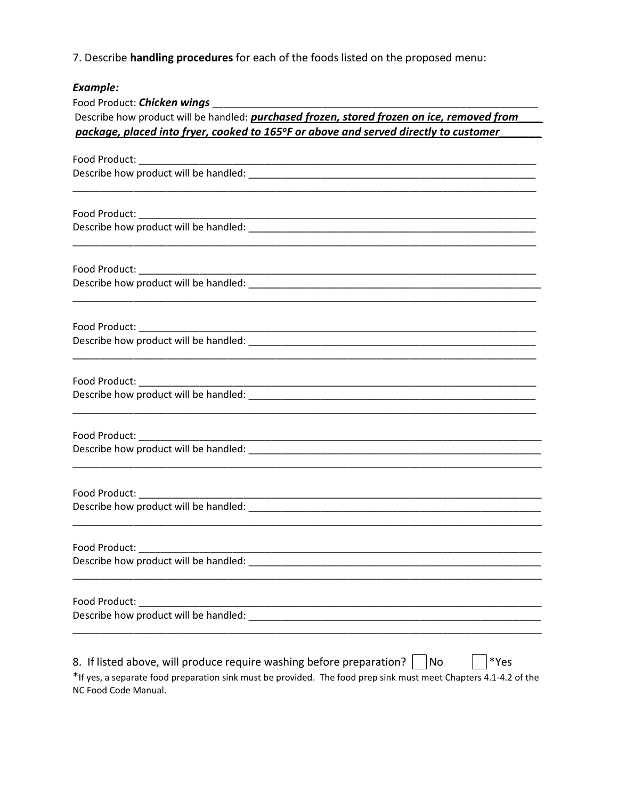7. Describe handling procedures for each of the foods listed on the proposed menu:

## Example:

NC Food Code Manual.

| Food Product: <b>Chicken wings</b>                                                                                    |  |  |  |
|-----------------------------------------------------------------------------------------------------------------------|--|--|--|
| Describe how product will be handled: <i>purchased frozen, stored frozen on ice, removed from</i>                     |  |  |  |
| package, placed into fryer, cooked to 165°F or above and served directly to customer                                  |  |  |  |
|                                                                                                                       |  |  |  |
|                                                                                                                       |  |  |  |
|                                                                                                                       |  |  |  |
|                                                                                                                       |  |  |  |
|                                                                                                                       |  |  |  |
|                                                                                                                       |  |  |  |
|                                                                                                                       |  |  |  |
|                                                                                                                       |  |  |  |
| <u> 1989 - Johann Stoff, amerikansk politiker (d. 1989)</u>                                                           |  |  |  |
|                                                                                                                       |  |  |  |
|                                                                                                                       |  |  |  |
|                                                                                                                       |  |  |  |
| <u> 1989 - Johann Stoff, deutscher Stoff, der Stoff, der Stoff, der Stoff, der Stoff, der Stoff, der Stoff, der S</u> |  |  |  |
|                                                                                                                       |  |  |  |
|                                                                                                                       |  |  |  |
| Food Product:                                                                                                         |  |  |  |
|                                                                                                                       |  |  |  |
| Food Product:                                                                                                         |  |  |  |
|                                                                                                                       |  |  |  |
| *Yes<br>8. If listed above, will produce require washing before preparation?<br>No                                    |  |  |  |
| *If yes, a separate food preparation sink must be provided. The food prep sink must meet Chapters 4.1-4.2 of the      |  |  |  |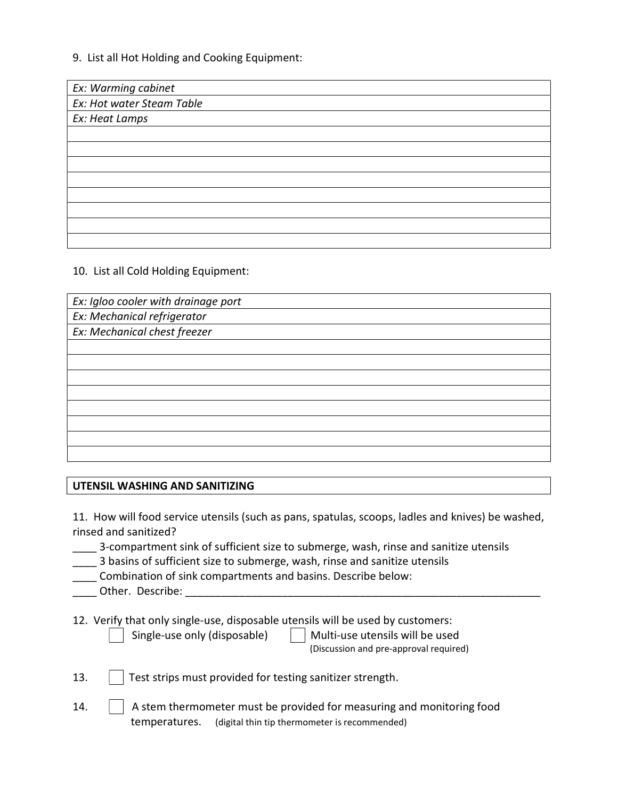#### 9. List all Hot Holding and Cooking Equipment:

| Ex: Warming cabinet       |  |
|---------------------------|--|
| Ex: Hot water Steam Table |  |
| Ex: Heat Lamps            |  |
|                           |  |
|                           |  |
|                           |  |
|                           |  |
|                           |  |
|                           |  |
|                           |  |
|                           |  |

10. List all Cold Holding Equipment:

Ex: Igloo cooler with drainage port Ex: Mechanical refrigerator Ex: Mechanical chest freezer

#### UTENSIL WASHING AND SANITIZING

11. How will food service utensils (such as pans, spatulas, scoops, ladles and knives) be washed, rinsed and sanitized?

| 3-compartment sink of sufficient size to submerge, wash, rinse and sanitize utensils |  |  |
|--------------------------------------------------------------------------------------|--|--|
|                                                                                      |  |  |

- 3 basins of sufficient size to submerge, wash, rinse and sanitize utensils
- \_\_\_\_ Combination of sink compartments and basins. Describe below:

| .ner | riber<br>ס מנ<br>- 71 J |  |
|------|-------------------------|--|
|      |                         |  |

12. Verify that only single-use, disposable utensils will be used by customers:

Single-use only (disposable)  $\parallel$  Multi-use utensils will be used (Discussion and pre-approval required)

- 13. | Test strips must provided for testing sanitizer strength.
- 14.  $\vert$  A stem thermometer must be provided for measuring and monitoring food temperatures. (digital thin tip thermometer is recommended)